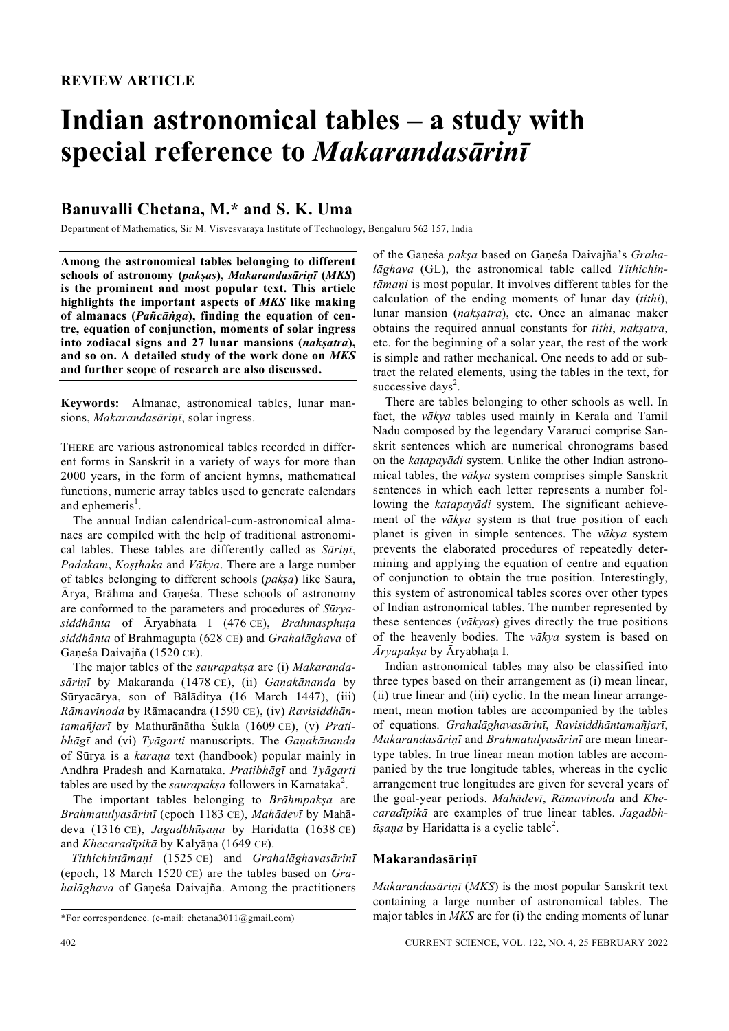# **Indian astronomical tables – a study with special reference to** *Makarandasārinī*

# **Banuvalli Chetana, M.\* and S. K. Uma**

Department of Mathematics, Sir M. Visvesvaraya Institute of Technology, Bengaluru 562 157, India

**Among the astronomical tables belonging to different schools of astronomy (***pakșas***),** *Makarandasāriṇī* **(***MKS***) is the prominent and most popular text. This article highlights the important aspects of** *MKS* **like making of almanacs (***Pañcāṅga***), finding the equation of centre, equation of conjunction, moments of solar ingress into zodiacal signs and 27 lunar mansions (***nakṣatra***), and so on. A detailed study of the work done on** *MKS* **and further scope of research are also discussed.** 

**Keywords:** Almanac, astronomical tables, lunar mansions, *Makarandasāriṇī*, solar ingress.

THERE are various astronomical tables recorded in different forms in Sanskrit in a variety of ways for more than 2000 years, in the form of ancient hymns, mathematical functions, numeric array tables used to generate calendars and ephemeris<sup>1</sup>.

 The annual Indian calendrical-cum-astronomical almanacs are compiled with the help of traditional astronomical tables. These tables are differently called as *Sāriṇī*, *Padakam*, *Koșṭhaka* and *Vākya*. There are a large number of tables belonging to different schools (*pakșa*) like Saura, Ārya, Brāhma and Gaṇeśa. These schools of astronomy are conformed to the parameters and procedures of *Sūryasiddhānta* of Āryabhata I (476 CE), *Brahmasphuṭa siddhānta* of Brahmagupta (628 CE) and *Grahalāghava* of Gaṇeśa Daivajña (1520 CE).

 The major tables of the *saurapakṣa* are (i) *Makarandasāriṇῑ* by Makaranda (1478 CE), (ii) *Gaṇakānanda* by Sūryacārya, son of Bālāditya (16 March 1447), (iii) *Rāmavinoda* by Rāmacandra (1590 CE), (iv) *Ravisiddhāntamañjarī* by Mathurānātha Śukla (1609 CE), (v) *Pratibhāgῑ* and (vi) *Tyāgarti* manuscripts. The *Gaṇakānanda* of Sūrya is a *karaṇa* text (handbook) popular mainly in Andhra Pradesh and Karnataka. *Pratibhāgῑ* and *Tyāgarti* tables are used by the *saurapak*<sub>5</sub>*a* followers in Karnataka<sup>2</sup>.

 The important tables belonging to *Brāhmpakṣa* are *Brahmatulyasārinī* (epoch 1183 CE), *Mahādevī* by Mahādeva (1316 CE), *Jagadbhūṣaṇa* by Haridatta (1638 CE) and *Khecaradīpikā* by Kalyāṇa (1649 CE).

 *Tithichintāmaṇi* (1525 CE) and *Grahalāghavasārinī* (epoch, 18 March 1520 CE) are the tables based on *Grahalāghava* of Gaṇeśa Daivajña. Among the practitioners of the Gaṇeśa *pakșa* based on Gaṇeśa Daivajña's *Grahalāghava* (GL), the astronomical table called *Tithichintāmaṇi* is most popular. It involves different tables for the calculation of the ending moments of lunar day (*tithi*), lunar mansion (*nakșatra*), etc. Once an almanac maker obtains the required annual constants for *tithi*, *nakșatra*, etc. for the beginning of a solar year, the rest of the work is simple and rather mechanical. One needs to add or subtract the related elements, using the tables in the text, for successive days<sup>2</sup>.

 There are tables belonging to other schools as well. In fact, the *vākya* tables used mainly in Kerala and Tamil Nadu composed by the legendary Vararuci comprise Sanskrit sentences which are numerical chronograms based on the *kaṭapayādi* system. Unlike the other Indian astronomical tables, the *vākya* system comprises simple Sanskrit sentences in which each letter represents a number following the *katapayādi* system. The significant achievement of the *vākya* system is that true position of each planet is given in simple sentences. The *vākya* system prevents the elaborated procedures of repeatedly determining and applying the equation of centre and equation of conjunction to obtain the true position. Interestingly, this system of astronomical tables scores over other types of Indian astronomical tables. The number represented by these sentences (*vākyas*) gives directly the true positions of the heavenly bodies. The *vākya* system is based on *Āryapakṣa* by Āryabhaṭa I.

 Indian astronomical tables may also be classified into three types based on their arrangement as (i) mean linear, (ii) true linear and (iii) cyclic. In the mean linear arrangement, mean motion tables are accompanied by the tables of equations. *Grahalāghavasārinī*, *Ravisiddhāntamañjarī*, *Makarandasāriṇῑ* and *Brahmatulyasārinī* are mean lineartype tables. In true linear mean motion tables are accompanied by the true longitude tables, whereas in the cyclic arrangement true longitudes are given for several years of the goal-year periods. *Mahādevī*, *Rāmavinoda* and *Khecaradīpikā* are examples of true linear tables. *Jagadbh-* $\bar{u}$ *sana* by Haridatta is a cyclic table<sup>2</sup>.

#### **Makarandasāriṇī**

*Makarandasāriṇī* (*MKS*) is the most popular Sanskrit text containing a large number of astronomical tables. The major tables in *MKS* are for (i) the ending moments of lunar

<sup>\*</sup>For correspondence. (e-mail: chetana3011@gmail.com)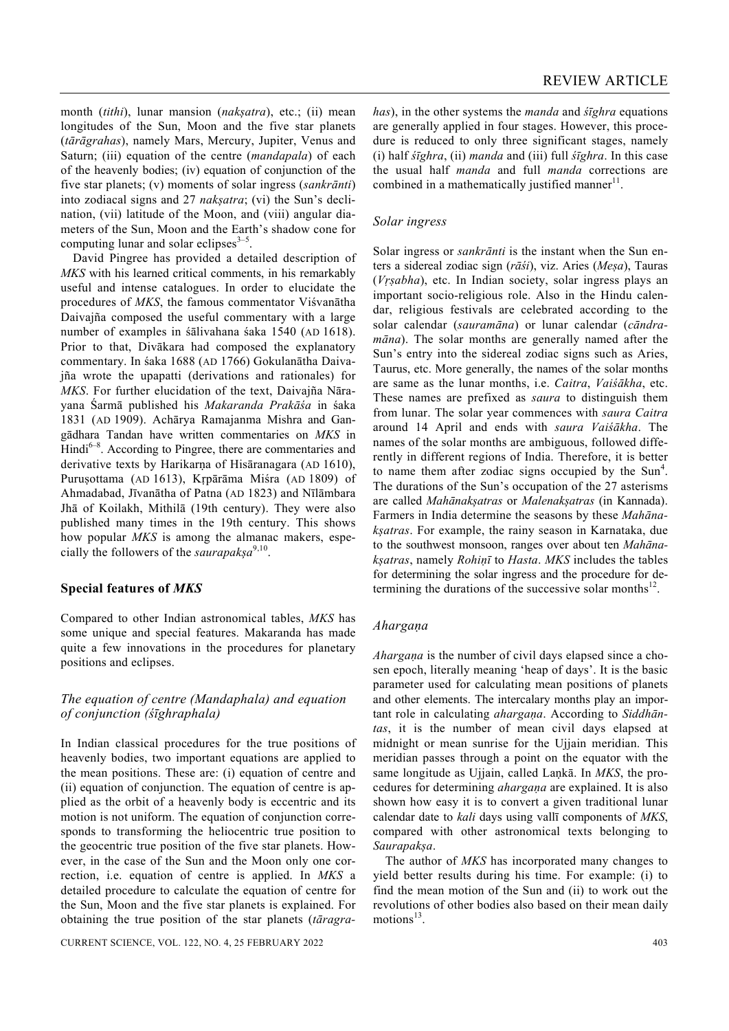month (*tithi*), lunar mansion (*nakșatra*), etc.; (ii) mean longitudes of the Sun, Moon and the five star planets (*tārāgrahas*), namely Mars, Mercury, Jupiter, Venus and Saturn; (iii) equation of the centre (*mandapala*) of each of the heavenly bodies; (iv) equation of conjunction of the five star planets; (v) moments of solar ingress (*sankrānti*) into zodiacal signs and 27 *nakșatra*; (vi) the Sun's declination, (vii) latitude of the Moon, and (viii) angular diameters of the Sun, Moon and the Earth's shadow cone for computing lunar and solar eclipses<sup> $3-5$ </sup>.

 David Pingree has provided a detailed description of *MKS* with his learned critical comments, in his remarkably useful and intense catalogues. In order to elucidate the procedures of *MKS*, the famous commentator Viśvanātha Daivajña composed the useful commentary with a large number of examples in śālivahana śaka 1540 (AD 1618). Prior to that, Divākara had composed the explanatory commentary. In śaka 1688 (AD 1766) Gokulanātha Daivajña wrote the upapatti (derivations and rationales) for *MKS*. For further elucidation of the text, Daivajña Nārayana Śarmā published his *Makaranda Prakāśa* in śaka 1831 (AD 1909). Achārya Ramajanma Mishra and Gangādhara Tandan have written commentaries on *MKS* in  $\text{Hindi}^{6-8}$ . According to Pingree, there are commentaries and derivative texts by Harikarna of Hisāranagara (AD 1610), Puruṣottama (AD 1613), Kṛpārāma Miśra (AD 1809) of Ahmadabad, Jīvanātha of Patna (AD 1823) and Nīlāmbara Jhā of Koilakh, Mithilā (19th century). They were also published many times in the 19th century. This shows how popular *MKS* is among the almanac makers, especially the followers of the *saurapakșa*9,10.

# **Special features of** *MKS*

Compared to other Indian astronomical tables, *MKS* has some unique and special features. Makaranda has made quite a few innovations in the procedures for planetary positions and eclipses.

# *The equation of centre (Mandaphala) and equation of conjunction (śῑghraphala)*

In Indian classical procedures for the true positions of heavenly bodies, two important equations are applied to the mean positions. These are: (i) equation of centre and (ii) equation of conjunction. The equation of centre is applied as the orbit of a heavenly body is eccentric and its motion is not uniform. The equation of conjunction corresponds to transforming the heliocentric true position to the geocentric true position of the five star planets. However, in the case of the Sun and the Moon only one correction, i.e. equation of centre is applied. In *MKS* a detailed procedure to calculate the equation of centre for the Sun, Moon and the five star planets is explained. For obtaining the true position of the star planets (*tāragra-*

CURRENT SCIENCE, VOL. 122, NO. 4, 25 FEBRUARY 2022 403

*has*), in the other systems the *manda* and *śīghra* equations are generally applied in four stages. However, this procedure is reduced to only three significant stages, namely (i) half *śῑghra*, (ii) *manda* and (iii) full *śῑghra*. In this case the usual half *manda* and full *manda* corrections are combined in a mathematically justified manner<sup> $\text{11}$ </sup>.

# *Solar ingress*

Solar ingress or *sankrānti* is the instant when the Sun enters a sidereal zodiac sign (*rāśi*), viz. Aries (*Meṣa*), Tauras (*Vṛṣabha*), etc. In Indian society, solar ingress plays an important socio-religious role. Also in the Hindu calendar, religious festivals are celebrated according to the solar calendar (*sauramāna*) or lunar calendar (*cāndramāna*). The solar months are generally named after the Sun's entry into the sidereal zodiac signs such as Aries, Taurus, etc. More generally, the names of the solar months are same as the lunar months, i.e. *Caitra*, *Vaiśākha*, etc. These names are prefixed as *saura* to distinguish them from lunar. The solar year commences with *saura Caitra*  around 14 April and ends with *saura Vaiśākha*. The names of the solar months are ambiguous, followed differently in different regions of India. Therefore, it is better to name them after zodiac signs occupied by the  $Sun<sup>4</sup>$ . The durations of the Sun's occupation of the 27 asterisms are called *Mahānakșatras* or *Malenakșatras* (in Kannada). Farmers in India determine the seasons by these *Mahānakșatras*. For example, the rainy season in Karnataka, due to the southwest monsoon, ranges over about ten *Mahānakșatras*, namely *Rohiṇī* to *Hasta*. *MKS* includes the tables for determining the solar ingress and the procedure for determining the durations of the successive solar months $^{12}$ .

# *Ahargaṇa*

*Ahargaṇa* is the number of civil days elapsed since a chosen epoch, literally meaning 'heap of days'. It is the basic parameter used for calculating mean positions of planets and other elements. The intercalary months play an important role in calculating *ahargaṇa*. According to *Siddhāntas*, it is the number of mean civil days elapsed at midnight or mean sunrise for the Ujjain meridian. This meridian passes through a point on the equator with the same longitude as Ujjain, called Laṇkā. In *MKS*, the procedures for determining *ahargaṇa* are explained. It is also shown how easy it is to convert a given traditional lunar calendar date to *kali* days using vallī components of *MKS*, compared with other astronomical texts belonging to *Saurapakșa*.

 The author of *MKS* has incorporated many changes to yield better results during his time. For example: (i) to find the mean motion of the Sun and (ii) to work out the revolutions of other bodies also based on their mean daily motions $^{13}$ .